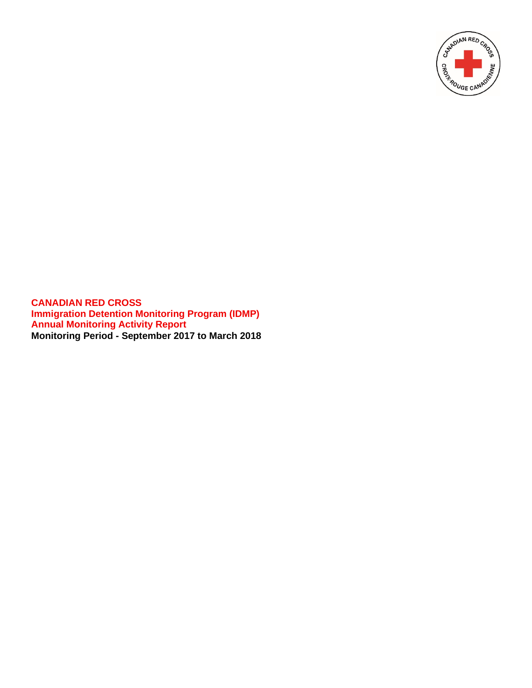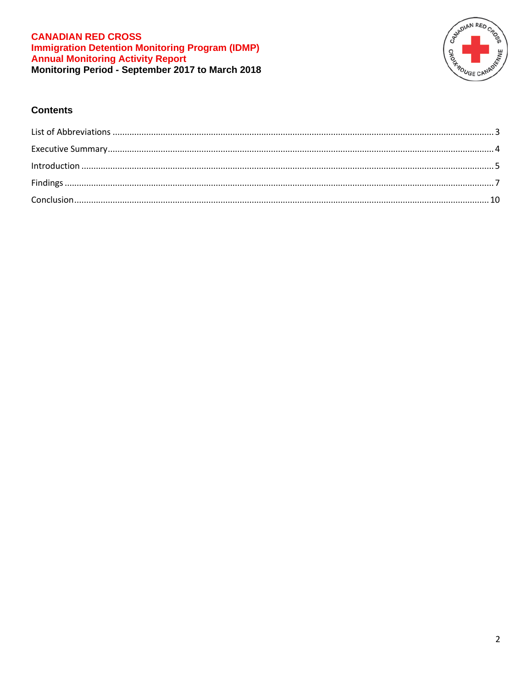

## **Contents**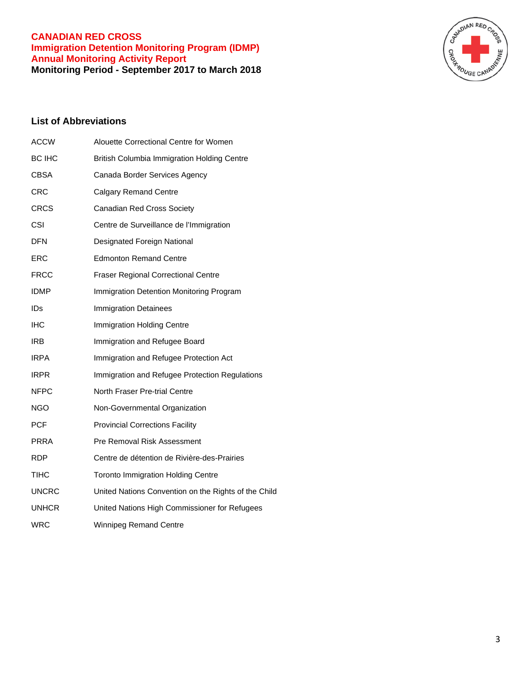

# <span id="page-2-0"></span>**List of Abbreviations**

| <b>ACCW</b>  | Alouette Correctional Centre for Women               |
|--------------|------------------------------------------------------|
| BC IHC       | <b>British Columbia Immigration Holding Centre</b>   |
| CBSA         | Canada Border Services Agency                        |
| CRC          | <b>Calgary Remand Centre</b>                         |
| CRCS         | Canadian Red Cross Society                           |
| <b>CSI</b>   | Centre de Surveillance de l'Immigration              |
| <b>DFN</b>   | Designated Foreign National                          |
| ERC          | <b>Edmonton Remand Centre</b>                        |
| <b>FRCC</b>  | <b>Fraser Regional Correctional Centre</b>           |
| <b>IDMP</b>  | Immigration Detention Monitoring Program             |
| IDs          | <b>Immigration Detainees</b>                         |
| <b>IHC</b>   | Immigration Holding Centre                           |
| <b>IRB</b>   | Immigration and Refugee Board                        |
| <b>IRPA</b>  | Immigration and Refugee Protection Act               |
| <b>IRPR</b>  | Immigration and Refugee Protection Regulations       |
| <b>NFPC</b>  | North Fraser Pre-trial Centre                        |
| NGO          | Non-Governmental Organization                        |
| PCF          | <b>Provincial Corrections Facility</b>               |
| PRRA         | Pre Removal Risk Assessment                          |
| <b>RDP</b>   | Centre de détention de Rivière-des-Prairies          |
| TIHC         | <b>Toronto Immigration Holding Centre</b>            |
| <b>UNCRC</b> | United Nations Convention on the Rights of the Child |
| <b>UNHCR</b> | United Nations High Commissioner for Refugees        |
| <b>WRC</b>   | <b>Winnipeg Remand Centre</b>                        |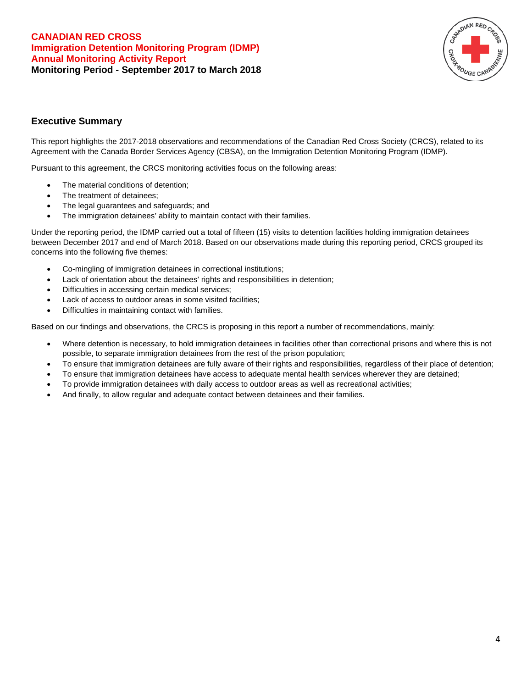

## <span id="page-3-0"></span>**Executive Summary**

This report highlights the 2017-2018 observations and recommendations of the Canadian Red Cross Society (CRCS), related to its Agreement with the Canada Border Services Agency (CBSA), on the Immigration Detention Monitoring Program (IDMP).

Pursuant to this agreement, the CRCS monitoring activities focus on the following areas:

- The material conditions of detention;
- The treatment of detainees:
- The legal guarantees and safeguards; and
- The immigration detainees' ability to maintain contact with their families.

Under the reporting period, the IDMP carried out a total of fifteen (15) visits to detention facilities holding immigration detainees between December 2017 and end of March 2018. Based on our observations made during this reporting period, CRCS grouped its concerns into the following five themes:

- Co-mingling of immigration detainees in correctional institutions;
- Lack of orientation about the detainees' rights and responsibilities in detention;
- Difficulties in accessing certain medical services;
- Lack of access to outdoor areas in some visited facilities;
- Difficulties in maintaining contact with families.

Based on our findings and observations, the CRCS is proposing in this report a number of recommendations, mainly:

- Where detention is necessary, to hold immigration detainees in facilities other than correctional prisons and where this is not possible, to separate immigration detainees from the rest of the prison population;
- To ensure that immigration detainees are fully aware of their rights and responsibilities, regardless of their place of detention;
- To ensure that immigration detainees have access to adequate mental health services wherever they are detained;
- To provide immigration detainees with daily access to outdoor areas as well as recreational activities;
- And finally, to allow regular and adequate contact between detainees and their families.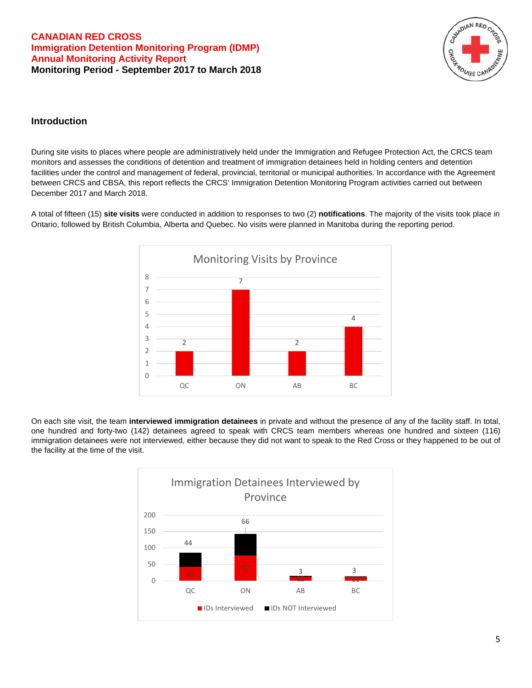

## <span id="page-4-0"></span>**Introduction**

During site visits to places where people are administratively held under the Immigration and Refugee Protection Act, the CRCS team monitors and assesses the conditions of detention and treatment of immigration detainees held in holding centers and detention facilities under the control and management of federal, provincial, territorial or municipal authorities. In accordance with the Agreement between CRCS and CBSA, this report reflects the CRCS' Immigration Detention Monitoring Program activities carried out between December 2017 and March 2018.

A total of fifteen (15) **site visits** were conducted in addition to responses to two (2) **notifications**. The majority of the visits took place in Ontario, followed by British Columbia, Alberta and Quebec. No visits were planned in Manitoba during the reporting period.



On each site visit, the team **interviewed immigration detainees** in private and without the presence of any of the facility staff. In total, one hundred and forty-two (142) detainees agreed to speak with CRCS team members whereas one hundred and sixteen (116) immigration detainees were not interviewed, either because they did not want to speak to the Red Cross or they happened to be out of the facility at the time of the visit.

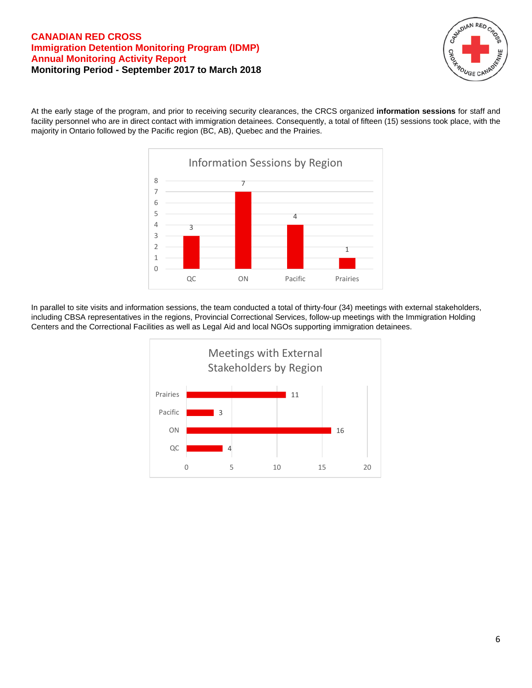

At the early stage of the program, and prior to receiving security clearances, the CRCS organized **information sessions** for staff and facility personnel who are in direct contact with immigration detainees. Consequently, a total of fifteen (15) sessions took place, with the majority in Ontario followed by the Pacific region (BC, AB), Quebec and the Prairies.



In parallel to site visits and information sessions, the team conducted a total of thirty-four (34) meetings with external stakeholders, including CBSA representatives in the regions, Provincial Correctional Services, follow-up meetings with the Immigration Holding Centers and the Correctional Facilities as well as Legal Aid and local NGOs supporting immigration detainees.

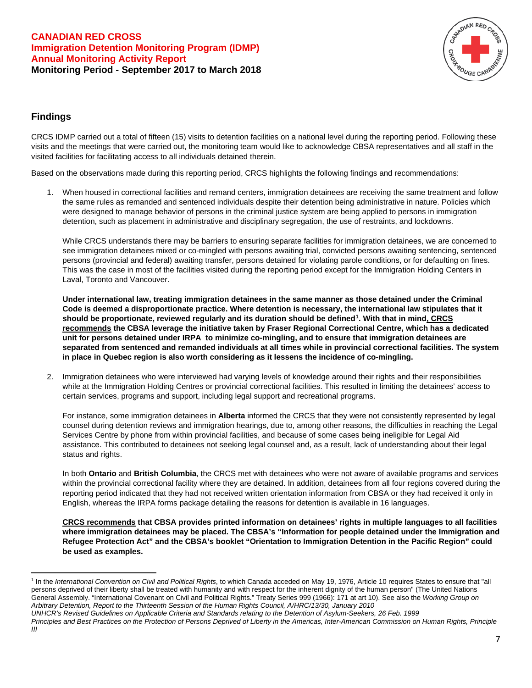

## <span id="page-6-0"></span>**Findings**

CRCS IDMP carried out a total of fifteen (15) visits to detention facilities on a national level during the reporting period. Following these visits and the meetings that were carried out, the monitoring team would like to acknowledge CBSA representatives and all staff in the visited facilities for facilitating access to all individuals detained therein.

Based on the observations made during this reporting period, CRCS highlights the following findings and recommendations:

1. When housed in correctional facilities and remand centers, immigration detainees are receiving the same treatment and follow the same rules as remanded and sentenced individuals despite their detention being administrative in nature. Policies which were designed to manage behavior of persons in the criminal justice system are being applied to persons in immigration detention, such as placement in administrative and disciplinary segregation, the use of restraints, and lockdowns.

While CRCS understands there may be barriers to ensuring separate facilities for immigration detainees, we are concerned to see immigration detainees mixed or co-mingled with persons awaiting trial, convicted persons awaiting sentencing, sentenced persons (provincial and federal) awaiting transfer, persons detained for violating parole conditions, or for defaulting on fines. This was the case in most of the facilities visited during the reporting period except for the Immigration Holding Centers in Laval, Toronto and Vancouver.

**Under international law, treating immigration detainees in the same manner as those detained under the Criminal Code is deemed a disproportionate practice. Where detention is necessary, the international law stipulates that it should be proportionate, reviewed regularly and its duration should be defined[1.](#page-6-1) With that in mind, CRCS recommends the CBSA leverage the initiative taken by Fraser Regional Correctional Centre, which has a dedicated unit for persons detained under IRPA to minimize co-mingling, and to ensure that immigration detainees are separated from sentenced and remanded individuals at all times while in provincial correctional facilities. The system in place in Quebec region is also worth considering as it lessens the incidence of co-mingling.** 

2. Immigration detainees who were interviewed had varying levels of knowledge around their rights and their responsibilities while at the Immigration Holding Centres or provincial correctional facilities. This resulted in limiting the detainees' access to certain services, programs and support, including legal support and recreational programs.

For instance, some immigration detainees in **Alberta** informed the CRCS that they were not consistently represented by legal counsel during detention reviews and immigration hearings, due to, among other reasons, the difficulties in reaching the Legal Services Centre by phone from within provincial facilities, and because of some cases being ineligible for Legal Aid assistance. This contributed to detainees not seeking legal counsel and, as a result, lack of understanding about their legal status and rights.

In both **Ontario** and **British Columbia**, the CRCS met with detainees who were not aware of available programs and services within the provincial correctional facility where they are detained. In addition, detainees from all four regions covered during the reporting period indicated that they had not received written orientation information from CBSA or they had received it only in English, whereas the IRPA forms package detailing the reasons for detention is available in 16 languages.

**CRCS recommends that CBSA provides printed information on detainees' rights in multiple languages to all facilities where immigration detainees may be placed. The CBSA's "Information for people detained under the Immigration and Refugee Protection Act" and the CBSA's booklet "Orientation to Immigration Detention in the Pacific Region" could be used as examples.** 

<span id="page-6-1"></span><sup>1</sup> In the *International Convention on Civil and Political Rights*, to which Canada acceded on May 19, 1976, Article 10 requires States to ensure that "all persons deprived of their liberty shall be treated with humanity and with respect for the inherent dignity of the human person" (The United Nations General Assembly. "International Covenant on Civil and Political Rights." Treaty Series 999 (1966): 171 at art 10). See also the *Working Group on Arbitrary Detention, Report to the Thirteenth Session of the Human Rights Council, A/HRC/13/30, January 2010* 

*UNHCR's Revised Guidelines on Applicable Criteria and Standards relating to the Detention of Asylum-Seekers, 26 Feb. 1999* 

*Principles and Best Practices on the Protection of Persons Deprived of Liberty in the Americas, Inter-American Commission on Human Rights, Principle III*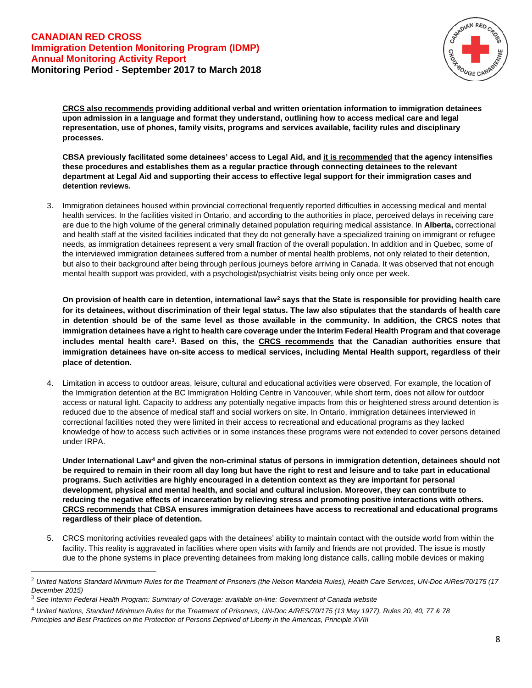

**CRCS also recommends providing additional verbal and written orientation information to immigration detainees upon admission in a language and format they understand, outlining how to access medical care and legal representation, use of phones, family visits, programs and services available, facility rules and disciplinary processes.**

**CBSA previously facilitated some detainees' access to Legal Aid, and it is recommended that the agency intensifies these procedures and establishes them as a regular practice through connecting detainees to the relevant department at Legal Aid and supporting their access to effective legal support for their immigration cases and detention reviews.**

3. Immigration detainees housed within provincial correctional frequently reported difficulties in accessing medical and mental health services. In the facilities visited in Ontario, and according to the authorities in place, perceived delays in receiving care are due to the high volume of the general criminally detained population requiring medical assistance. In **Alberta,** correctional and health staff at the visited facilities indicated that they do not generally have a specialized training on immigrant or refugee needs, as immigration detainees represent a very small fraction of the overall population. In addition and in Quebec, some of the interviewed immigration detainees suffered from a number of mental health problems, not only related to their detention, but also to their background after being through perilous journeys before arriving in Canada. It was observed that not enough mental health support was provided, with a psychologist/psychiatrist visits being only once per week.

**On provision of health care in detention, international law[2](#page-7-0) says that the State is responsible for providing health care for its detainees, without discrimination of their legal status. The law also stipulates that the standards of health care in detention should be of the same level as those available in the community. In addition, the CRCS notes that immigration detainees have a right to health care coverage under the Interim Federal Health Program and that coverage includes mental health care[3](#page-7-1). Based on this, the CRCS recommends that the Canadian authorities ensure that immigration detainees have on-site access to medical services, including Mental Health support, regardless of their place of detention.** 

4. Limitation in access to outdoor areas, leisure, cultural and educational activities were observed. For example, the location of the Immigration detention at the BC Immigration Holding Centre in Vancouver, while short term, does not allow for outdoor access or natural light. Capacity to address any potentially negative impacts from this or heightened stress around detention is reduced due to the absence of medical staff and social workers on site. In Ontario, immigration detainees interviewed in correctional facilities noted they were limited in their access to recreational and educational programs as they lacked knowledge of how to access such activities or in some instances these programs were not extended to cover persons detained under IRPA.

**Under International Law[4](#page-7-2) and given the non-criminal status of persons in immigration detention, detainees should not be required to remain in their room all day long but have the right to rest and leisure and to take part in educational programs. Such activities are highly encouraged in a detention context as they are important for personal development, physical and mental health, and social and cultural inclusion. Moreover, they can contribute to reducing the negative effects of incarceration by relieving stress and promoting positive interactions with others. CRCS recommends that CBSA ensures immigration detainees have access to recreational and educational programs regardless of their place of detention.**

5. CRCS monitoring activities revealed gaps with the detainees' ability to maintain contact with the outside world from within the facility. This reality is aggravated in facilities where open visits with family and friends are not provided. The issue is mostly due to the phone systems in place preventing detainees from making long distance calls, calling mobile devices or making

<span id="page-7-0"></span><sup>2</sup> *United Nations Standard Minimum Rules for the Treatment of Prisoners (the Nelson Mandela Rules), Health Care Services, UN-Doc A/Res/70/175 (17 December 2015)*

<span id="page-7-1"></span><sup>3</sup> *See Interim Federal Health Program: Summary of Coverage: available [on-line: Government of Canada website](https://www.canada.ca/en/immigration-refugees-citizenship/services/refugees/help-within-canada/health-care/interim-federal-health-program/coverage-summary.html)*

<span id="page-7-2"></span><sup>4</sup> *United Nations, Standard Minimum Rules for the Treatment of Prisoners, UN-Doc A/RES/70/175 (13 May 1977), Rules 20, 40, 77 & 78 Principles and Best Practices on the Protection of Persons Deprived of Liberty in the Americas, Principle XVIII*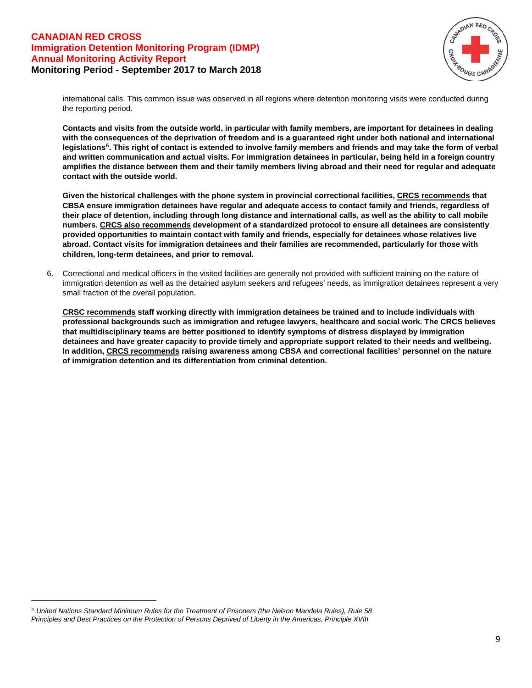

international calls. This common issue was observed in all regions where detention monitoring visits were conducted during the reporting period.

**Contacts and visits from the outside world, in particular with family members, are important for detainees in dealing with the consequences of the deprivation of freedom and is a guaranteed right under both national and international legislations[5](#page-8-0). This right of contact is extended to involve family members and friends and may take the form of verbal and written communication and actual visits. For immigration detainees in particular, being held in a foreign country amplifies the distance between them and their family members living abroad and their need for regular and adequate contact with the outside world.**

**Given the historical challenges with the phone system in provincial correctional facilities, CRCS recommends that CBSA ensure immigration detainees have regular and adequate access to contact family and friends, regardless of their place of detention, including through long distance and international calls, as well as the ability to call mobile numbers. CRCS also recommends development of a standardized protocol to ensure all detainees are consistently provided opportunities to maintain contact with family and friends, especially for detainees whose relatives live abroad. Contact visits for immigration detainees and their families are recommended, particularly for those with children, long-term detainees, and prior to removal.**

6. Correctional and medical officers in the visited facilities are generally not provided with sufficient training on the nature of immigration detention as well as the detained asylum seekers and refugees' needs, as immigration detainees represent a very small fraction of the overall population.

**CRSC recommends staff working directly with immigration detainees be trained and to include individuals with professional backgrounds such as immigration and refugee lawyers, healthcare and social work. The CRCS believes that multidisciplinary teams are better positioned to identify symptoms of distress displayed by immigration detainees and have greater capacity to provide timely and appropriate support related to their needs and wellbeing. In addition, CRCS recommends raising awareness among CBSA and correctional facilities' personnel on the nature of immigration detention and its differentiation from criminal detention.**

<span id="page-8-0"></span><sup>5</sup> *United Nations Standard Minimum Rules for the Treatment of Prisoners (the Nelson Mandela Rules), Rule 58 Principles and Best Practices on the Protection of Persons Deprived of Liberty in the Americas, Principle XVIII*